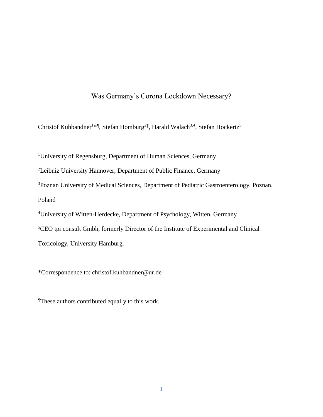# Was Germany's Corona Lockdown Necessary?

Christof Kuhbandner<sup>1\*</sup>, Stefan Homburg<sup>2¶</sup>, Harald Walach<sup>3,4</sup>, Stefan Hockertz<sup>5</sup>

<sup>1</sup>University of Regensburg, Department of Human Sciences, Germany

<sup>2</sup>Leibniz University Hannover, Department of Public Finance, Germany

<sup>3</sup>Poznan University of Medical Sciences, Department of Pediatric Gastroenterology, Poznan, Poland

<sup>4</sup>University of Witten-Herdecke, Department of Psychology, Witten, Germany

<sup>5</sup>CEO tpi consult Gmbh, formerly Director of the Institute of Experimental and Clinical

Toxicology, University Hamburg.

\*Correspondence to: christof.kuhbandner@ur.de

¶These authors contributed equally to this work.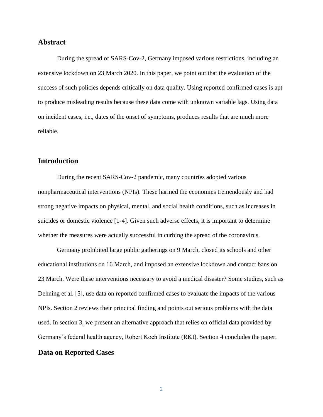#### **Abstract**

During the spread of SARS-Cov-2, Germany imposed various restrictions, including an extensive lockdown on 23 March 2020. In this paper, we point out that the evaluation of the success of such policies depends critically on data quality. Using reported confirmed cases is apt to produce misleading results because these data come with unknown variable lags. Using data on incident cases, i.e., dates of the onset of symptoms, produces results that are much more reliable.

# **Introduction**

During the recent SARS-Cov-2 pandemic, many countries adopted various nonpharmaceutical interventions (NPIs). These harmed the economies tremendously and had strong negative impacts on physical, mental, and social health conditions, such as increases in suicides or domestic violence [1-4]. Given such adverse effects, it is important to determine whether the measures were actually successful in curbing the spread of the coronavirus.

Germany prohibited large public gatherings on 9 March, closed its schools and other educational institutions on 16 March, and imposed an extensive lockdown and contact bans on 23 March. Were these interventions necessary to avoid a medical disaster? Some studies, such as Dehning et al. [5], use data on reported confirmed cases to evaluate the impacts of the various NPIs. Section 2 reviews their principal finding and points out serious problems with the data used. In section 3, we present an alternative approach that relies on official data provided by Germany's federal health agency, Robert Koch Institute (RKI). Section 4 concludes the paper. **Data on Reported Cases**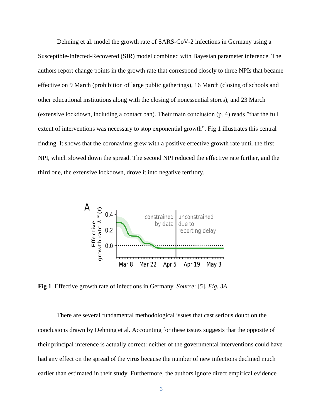Dehning et al. model the growth rate of SARS-CoV-2 infections in Germany using a Susceptible-Infected-Recovered (SIR) model combined with Bayesian parameter inference. The authors report change points in the growth rate that correspond closely to three NPIs that became effective on 9 March (prohibition of large public gatherings), 16 March (closing of schools and other educational institutions along with the closing of nonessential stores), and 23 March (extensive lockdown, including a contact ban). Their main conclusion (p. 4) reads "that the full extent of interventions was necessary to stop exponential growth". Fig 1 illustrates this central finding. It shows that the coronavirus grew with a positive effective growth rate until the first NPI, which slowed down the spread. The second NPI reduced the effective rate further, and the third one, the extensive lockdown, drove it into negative territory.



**Fig 1**. Effective growth rate of infections in Germany. *Source*: [*5*], *Fig. 3A*.

There are several fundamental methodological issues that cast serious doubt on the conclusions drawn by Dehning et al. Accounting for these issues suggests that the opposite of their principal inference is actually correct: neither of the governmental interventions could have had any effect on the spread of the virus because the number of new infections declined much earlier than estimated in their study. Furthermore, the authors ignore direct empirical evidence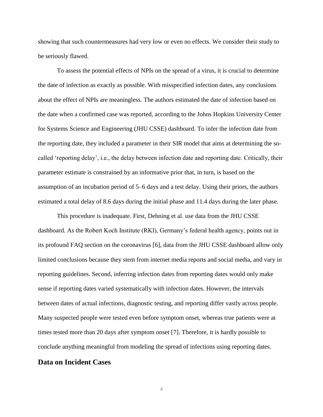showing that such countermeasures had very low or even no effects. We consider their study to be seriously flawed.

To assess the potential effects of NPIs on the spread of a virus, it is crucial to determine the date of infection as exactly as possible. With misspecified infection dates, any conclusions about the effect of NPIs are meaningless. The authors estimated the date of infection based on the date when a confirmed case was reported, according to the Johns Hopkins University Center for Systems Science and Engineering (JHU CSSE) dashboard. To infer the infection date from the reporting date, they included a parameter in their SIR model that aims at determining the socalled 'reporting delay', i.e., the delay between infection date and reporting date. Critically, their parameter estimate is constrained by an informative prior that, in turn, is based on the assumption of an incubation period of 5–6 days and a test delay. Using their priors, the authors estimated a total delay of 8.6 days during the initial phase and 11.4 days during the later phase.

This procedure is inadequate. First, Dehning et al. use data from the JHU CSSE dashboard. As the Robert Koch Institute (RKI), Germany's federal health agency, points out in its profound FAQ section on the coronavirus [6], data from the JHU CSSE dashboard allow only limited conclusions because they stem from internet media reports and social media, and vary in reporting guidelines. Second, inferring infection dates from reporting dates would only make sense if reporting dates varied systematically with infection dates. However, the intervals between dates of actual infections, diagnostic testing, and reporting differ vastly across people. Many suspected people were tested even before symptom onset, whereas true patients were at times tested more than 20 days after symptom onset [7]. Therefore, it is hardly possible to conclude anything meaningful from modeling the spread of infections using reporting dates.

# **Data on Incident Cases**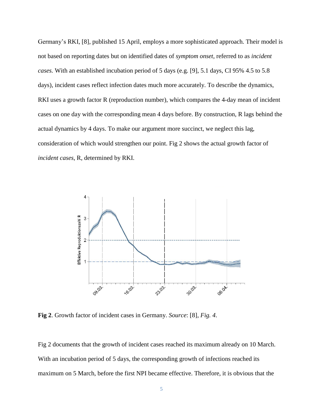Germany's RKI, [8], published 15 April, employs a more sophisticated approach. Their model is not based on reporting dates but on identified dates of *symptom onset*, referred to as *incident cases.* With an established incubation period of 5 days (e.g. [9], 5.1 days, CI 95% 4.5 to 5.8 days), incident cases reflect infection dates much more accurately. To describe the dynamics, RKI uses a growth factor R (reproduction number), which compares the 4-day mean of incident cases on one day with the corresponding mean 4 days before. By construction, R lags behind the actual dynamics by 4 days. To make our argument more succinct, we neglect this lag, consideration of which would strengthen our point. Fig 2 shows the actual growth factor of *incident cases*, R, determined by RKI.



**Fig 2**. Growth factor of incident cases in Germany. *Source*: [8], *Fig. 4*.

Fig 2 documents that the growth of incident cases reached its maximum already on 10 March. With an incubation period of 5 days, the corresponding growth of infections reached its maximum on 5 March, before the first NPI became effective. Therefore, it is obvious that the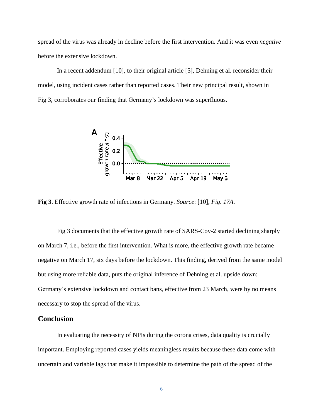spread of the virus was already in decline before the first intervention. And it was even *negative* before the extensive lockdown.

In a recent addendum [10], to their original article [5], Dehning et al. reconsider their model, using incident cases rather than reported cases. Their new principal result, shown in Fig 3, corroborates our finding that Germany's lockdown was superfluous.



**Fig 3**. Effective growth rate of infections in Germany. *Source*: [10], *Fig. 17A*.

Fig 3 documents that the effective growth rate of SARS-Cov-2 started declining sharply on March 7, i.e., before the first intervention. What is more, the effective growth rate became negative on March 17, six days before the lockdown. This finding, derived from the same model but using more reliable data, puts the original inference of Dehning et al. upside down: Germany's extensive lockdown and contact bans, effective from 23 March, were by no means necessary to stop the spread of the virus.

## **Conclusion**

In evaluating the necessity of NPIs during the corona crises, data quality is crucially important. Employing reported cases yields meaningless results because these data come with uncertain and variable lags that make it impossible to determine the path of the spread of the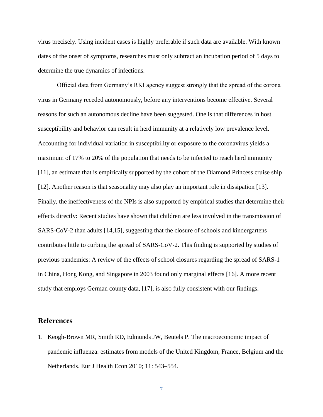virus precisely. Using incident cases is highly preferable if such data are available. With known dates of the onset of symptoms, researches must only subtract an incubation period of 5 days to determine the true dynamics of infections.

Official data from Germany's RKI agency suggest strongly that the spread of the corona virus in Germany receded autonomously, before any interventions become effective. Several reasons for such an autonomous decline have been suggested. One is that differences in host susceptibility and behavior can result in herd immunity at a relatively low prevalence level. Accounting for individual variation in susceptibility or exposure to the coronavirus yields a maximum of 17% to 20% of the population that needs to be infected to reach herd immunity [11], an estimate that is empirically supported by the cohort of the Diamond Princess cruise ship [12]. Another reason is that seasonality may also play an important role in dissipation [13]. Finally, the ineffectiveness of the NPIs is also supported by empirical studies that determine their effects directly: Recent studies have shown that children are less involved in the transmission of SARS-CoV-2 than adults [14,15], suggesting that the closure of schools and kindergartens contributes little to curbing the spread of SARS-CoV-2. This finding is supported by studies of previous pandemics: A review of the effects of school closures regarding the spread of SARS-1 in China, Hong Kong, and Singapore in 2003 found only marginal effects [16]. A more recent study that employs German county data, [17], is also fully consistent with our findings.

#### **References**

1. Keogh-Brown MR, Smith RD, Edmunds JW, Beutels P. The macroeconomic impact of pandemic influenza: estimates from models of the United Kingdom, France, Belgium and the Netherlands. Eur J Health Econ 2010; 11: 543–554.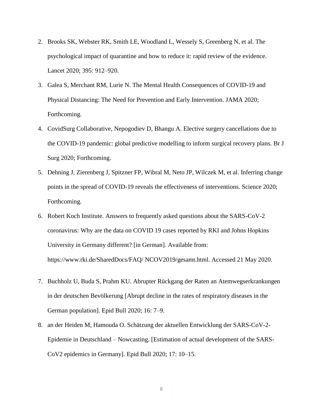- 2. Brooks SK, Webster RK, Smith LE, Woodland L, Wessely S, Greenberg N, et al. The psychological impact of quarantine and how to reduce it: rapid review of the evidence. Lancet 2020; 395: 912–920.
- 3. Galea S, Merchant RM, Lurie N. The Mental Health Consequences of COVID-19 and Physical Distancing: The Need for Prevention and Early Intervention. JAMA 2020; Forthcoming.
- 4. CovidSurg Collaborative, Nepogodiev D, Bhangu A. Elective surgery cancellations due to the COVID-19 pandemic: global predictive modelling to inform surgical recovery plans. Br J Surg 2020; Forthcoming.
- 5. Dehning J, Zierenberg J, Spitzner [FP,](https://science.sciencemag.org/content/early/2020/05/14/science.abb9789#aff-1) Wibral M, Neto JP, Wilczek M, et al. Inferring change points in the spread of COVID-19 reveals the effectiveness of interventions. Science 2020; Forthcoming.
- 6. Robert Koch Institute. Answers to frequently asked questions about the SARS-CoV-2 coronavirus: Why are the data on COVID 19 cases reported by RKI and Johns Hopkins University in Germany different? [in German]. Available from: https://www.rki.de/SharedDocs/FAQ/ NCOV2019/gesamt.html. Accessed 21 May 2020.
- 7. Buchholz U, Buda S, Prahm KU. Abrupter Rückgang der Raten an Atemwegserkrankungen in der deutschen Bevölkerung [Abrupt decline in the rates of respiratory diseases in the German population]. Epid Bull 2020; 16: 7–9.
- 8. an der Heiden M, Hamouda O. Schätzung der aktuellen Entwicklung der SARS-CoV-2- Epidemie in Deutschland – Nowcasting. [Estimation of actual development of the SARS-CoV2 epidemics in Germany]. Epid Bull 2020; 17: 10–15.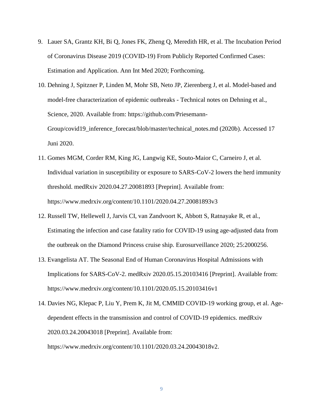- 9. Lauer SA, Grantz KH, Bi Q, Jones FK, Zheng Q, Meredith HR, et al. The Incubation Period of Coronavirus Disease 2019 (COVID-19) From Publicly Reported Confirmed Cases: Estimation and Application. Ann Int Med 2020; Forthcoming.
- 10. Dehning J, Spitzner P, Linden M, Mohr SB, Neto JP, Zierenberg J, et al. Model-based and model-free characterization of epidemic outbreaks - Technical notes on Dehning et al., Science, 2020. Available from: https://github.com/Priesemann-Group/covid19\_inference\_forecast/blob/master/technical\_notes.md (2020b). Accessed 17 Juni 2020.
- 11. Gomes MGM, Corder RM, King JG, Langwig KE, Souto-Maior C, Carneiro J, et al. Individual variation in susceptibility or exposure to SARS-CoV-2 lowers the herd immunity threshold. medRxiv 2020.04.27.20081893 [Preprint]. Available from: https://www.medrxiv.org/content/10.1101/2020.04.27.20081893v3
- 12. Russell TW, Hellewell J, Jarvis CI, van Zandvoort K, Abbott S, Ratnayake R, et al., Estimating the infection and case fatality ratio for COVID-19 using age-adjusted data from the outbreak on the Diamond Princess cruise ship. Eurosurveillance 2020; 25:2000256.
- 13. Evangelista AT. The Seasonal End of Human Coronavirus Hospital Admissions with Implications for SARS-CoV-2. medRxiv 2020.05.15.20103416 [Preprint]. Available from: https://www.medrxiv.org/content/10.1101/2020.05.15.20103416v1
- 14. Davies NG, Klepac P, Liu Y, Prem K, Jit M, CMMID COVID-19 working group, et al. Agedependent effects in the transmission and control of COVID-19 epidemics. medRxiv 2020.03.24.20043018 [Preprint]. Available from:

https://www.medrxiv.org/content/10.1101/2020.03.24.20043018v2.